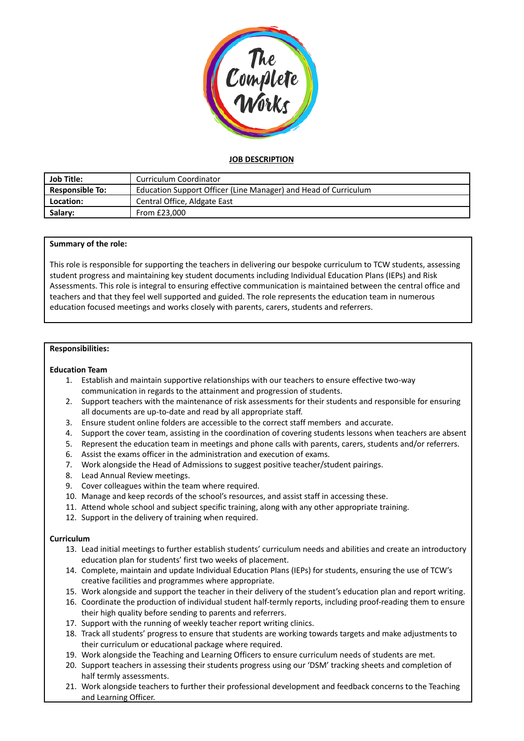

# **JOB DESCRIPTION**

| Job Title:             | Curriculum Coordinator                                          |
|------------------------|-----------------------------------------------------------------|
| <b>Responsible To:</b> | Education Support Officer (Line Manager) and Head of Curriculum |
| Location:              | Central Office, Aldgate East                                    |
| Salary:                | From £23,000                                                    |

### **Summary of the role:**

This role is responsible for supporting the teachers in delivering our bespoke curriculum to TCW students, assessing student progress and maintaining key student documents including Individual Education Plans (IEPs) and Risk Assessments. This role is integral to ensuring effective communication is maintained between the central office and teachers and that they feel well supported and guided. The role represents the education team in numerous education focused meetings and works closely with parents, carers, students and referrers.

#### **Responsibilities:**

### **Education Team**

- 1. Establish and maintain supportive relationships with our teachers to ensure effective two-way communication in regards to the attainment and progression of students.
- 2. Support teachers with the maintenance of risk assessments for their students and responsible for ensuring all documents are up-to-date and read by all appropriate staff.
- 3. Ensure student online folders are accessible to the correct staff members and accurate.
- 4. Support the cover team, assisting in the coordination of covering students lessons when teachers are absent
- 5. Represent the education team in meetings and phone calls with parents, carers, students and/or referrers.
- 6. Assist the exams officer in the administration and execution of exams.
- 7. Work alongside the Head of Admissions to suggest positive teacher/student pairings.
- 8. Lead Annual Review meetings.
- 9. Cover colleagues within the team where required.
- 10. Manage and keep records of the school's resources, and assist staff in accessing these.
- 11. Attend whole school and subject specific training, along with any other appropriate training.
- 12. Support in the delivery of training when required.

### **Curriculum**

- 13. Lead initial meetings to further establish students' curriculum needs and abilities and create an introductory education plan for students' first two weeks of placement.
- 14. Complete, maintain and update Individual Education Plans (IEPs) for students, ensuring the use of TCW's creative facilities and programmes where appropriate.
- 15. Work alongside and support the teacher in their delivery of the student's education plan and report writing.
- 16. Coordinate the production of individual student half-termly reports, including proof-reading them to ensure their high quality before sending to parents and referrers.
- 17. Support with the running of weekly teacher report writing clinics.
- 18. Track all students' progress to ensure that students are working towards targets and make adjustments to their curriculum or educational package where required.
- 19. Work alongside the Teaching and Learning Officers to ensure curriculum needs of students are met.
- 20. Support teachers in assessing their students progress using our 'DSM' tracking sheets and completion of half termly assessments.
- 21. Work alongside teachers to further their professional development and feedback concerns to the Teaching and Learning Officer.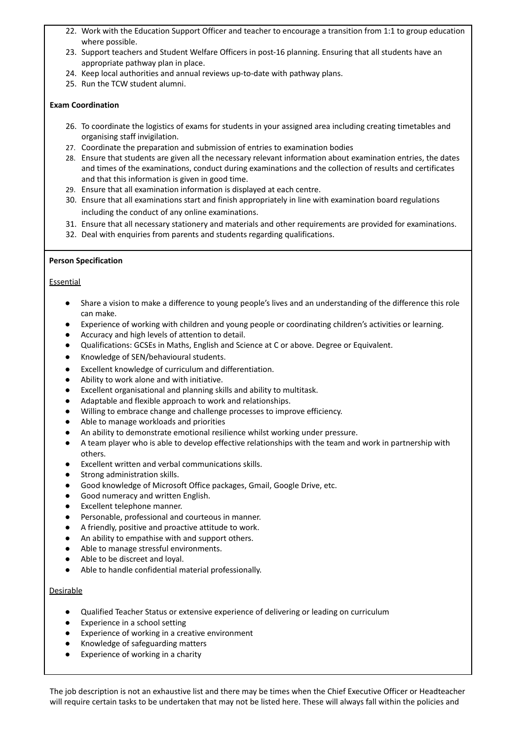- 22. Work with the Education Support Officer and teacher to encourage a transition from 1:1 to group education where possible.
- 23. Support teachers and Student Welfare Officers in post-16 planning. Ensuring that all students have an appropriate pathway plan in place.
- 24. Keep local authorities and annual reviews up-to-date with pathway plans.
- 25. Run the TCW student alumni.

### **Exam Coordination**

- 26. To coordinate the logistics of exams for students in your assigned area including creating timetables and organising staff invigilation.
- 27. Coordinate the preparation and submission of entries to examination bodies
- 28. Ensure that students are given all the necessary relevant information about examination entries, the dates and times of the examinations, conduct during examinations and the collection of results and certificates and that this information is given in good time.
- 29. Ensure that all examination information is displayed at each centre.
- 30. Ensure that all examinations start and finish appropriately in line with examination board regulations including the conduct of any online examinations.
- 31. Ensure that all necessary stationery and materials and other requirements are provided for examinations.
- 32. Deal with enquiries from parents and students regarding qualifications.

## **Person Specification**

## **Essential**

- Share a vision to make a difference to young people's lives and an understanding of the difference this role can make.
- Experience of working with children and young people or coordinating children's activities or learning.
- Accuracy and high levels of attention to detail.
- Qualifications: GCSEs in Maths, English and Science at C or above. Degree or Equivalent.
- Knowledge of SEN/behavioural students.
- Excellent knowledge of curriculum and differentiation.
- Ability to work alone and with initiative.
- Excellent organisational and planning skills and ability to multitask.
- Adaptable and flexible approach to work and relationships.
- Willing to embrace change and challenge processes to improve efficiency.
- Able to manage workloads and priorities
- An ability to demonstrate emotional resilience whilst working under pressure.
- A team player who is able to develop effective relationships with the team and work in partnership with others.
- Excellent written and verbal communications skills.
- Strong administration skills.
- Good knowledge of Microsoft Office packages, Gmail, Google Drive, etc.
- Good numeracy and written English.
- Excellent telephone manner.
- Personable, professional and courteous in manner.
- A friendly, positive and proactive attitude to work.
- An ability to empathise with and support others.
- Able to manage stressful environments.
- Able to be discreet and loyal.
- Able to handle confidential material professionally.

### **Desirable**

- Qualified Teacher Status or extensive experience of delivering or leading on curriculum
- Experience in a school setting
- Experience of working in a creative environment
- Knowledge of safeguarding matters
- Experience of working in a charity

The job description is not an exhaustive list and there may be times when the Chief Executive Officer or Headteacher will require certain tasks to be undertaken that may not be listed here. These will always fall within the policies and